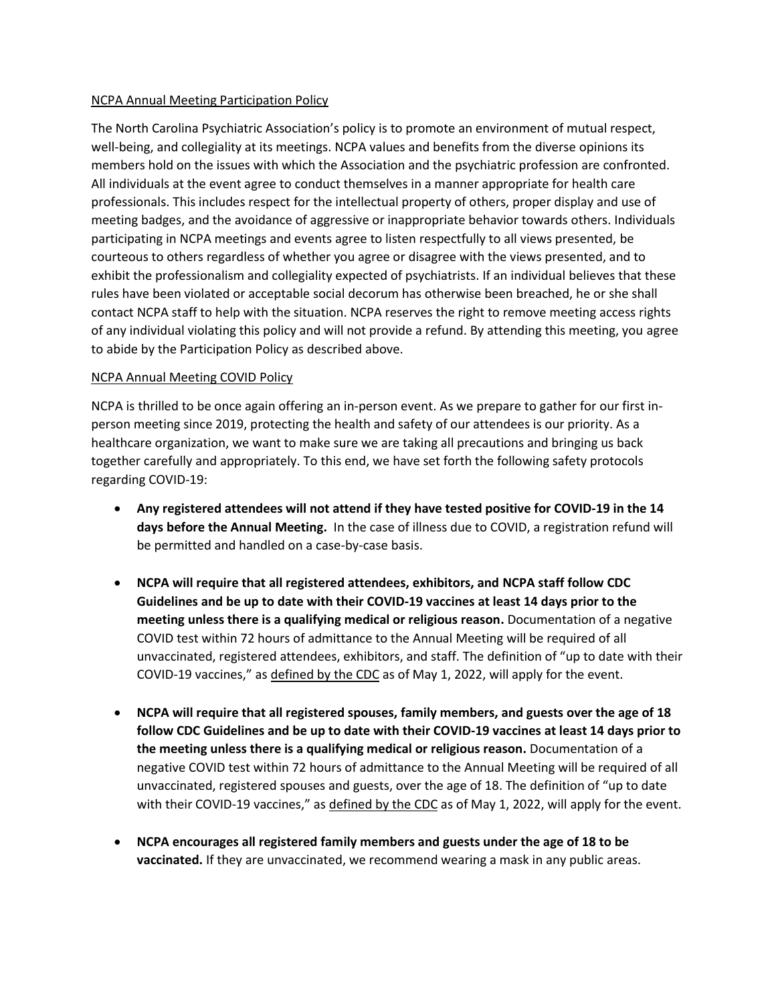## NCPA Annual Meeting Participation Policy

The North Carolina Psychiatric Association's policy is to promote an environment of mutual respect, well-being, and collegiality at its meetings. NCPA values and benefits from the diverse opinions its members hold on the issues with which the Association and the psychiatric profession are confronted. All individuals at the event agree to conduct themselves in a manner appropriate for health care professionals. This includes respect for the intellectual property of others, proper display and use of meeting badges, and the avoidance of aggressive or inappropriate behavior towards others. Individuals participating in NCPA meetings and events agree to listen respectfully to all views presented, be courteous to others regardless of whether you agree or disagree with the views presented, and to exhibit the professionalism and collegiality expected of psychiatrists. If an individual believes that these rules have been violated or acceptable social decorum has otherwise been breached, he or she shall contact NCPA staff to help with the situation. NCPA reserves the right to remove meeting access rights of any individual violating this policy and will not provide a refund. By attending this meeting, you agree to abide by the Participation Policy as described above.

## NCPA Annual Meeting COVID Policy

NCPA is thrilled to be once again offering an in‐person event. As we prepare to gather for our first inperson meeting since 2019, protecting the health and safety of our attendees is our priority. As a healthcare organization, we want to make sure we are taking all precautions and bringing us back together carefully and appropriately. To this end, we have set forth the following safety protocols regarding COVID-19:

- **Any registered attendees will not attend if they have tested positive for COVID‐19 in the 14 days before the Annual Meeting.** In the case of illness due to COVID, a registration refund will be permitted and handled on a case-by-case basis.
- **NCPA will require that all registered attendees, exhibitors, and NCPA staff follow CDC Guidelines and be up to date with their COVID-19 vaccines at least 14 days prior to the meeting unless there is a qualifying medical or religious reason.** Documentation of a negative COVID test within 72 hours of admittance to the Annual Meeting will be required of all unvaccinated, registered attendees, exhibitors, and staff. The definition of "up to date with their COVID-19 vaccines," as defined by the CDC as of May 1, 2022, will apply for the event.
- **NCPA will require that all registered spouses, family members, and guests over the age of 18 follow CDC Guidelines and be up to date with their COVID-19 vaccines at least 14 days prior to the meeting unless there is a qualifying medical or religious reason.** Documentation of a negative COVID test within 72 hours of admittance to the Annual Meeting will be required of all unvaccinated, registered spouses and guests, over the age of 18. The definition of "up to date with their COVID-19 vaccines," as defined by the CDC as of May 1, 2022, will apply for the event.
- **NCPA encourages all registered family members and guests under the age of 18 to be vaccinated.** If they are unvaccinated, we recommend wearing a mask in any public areas.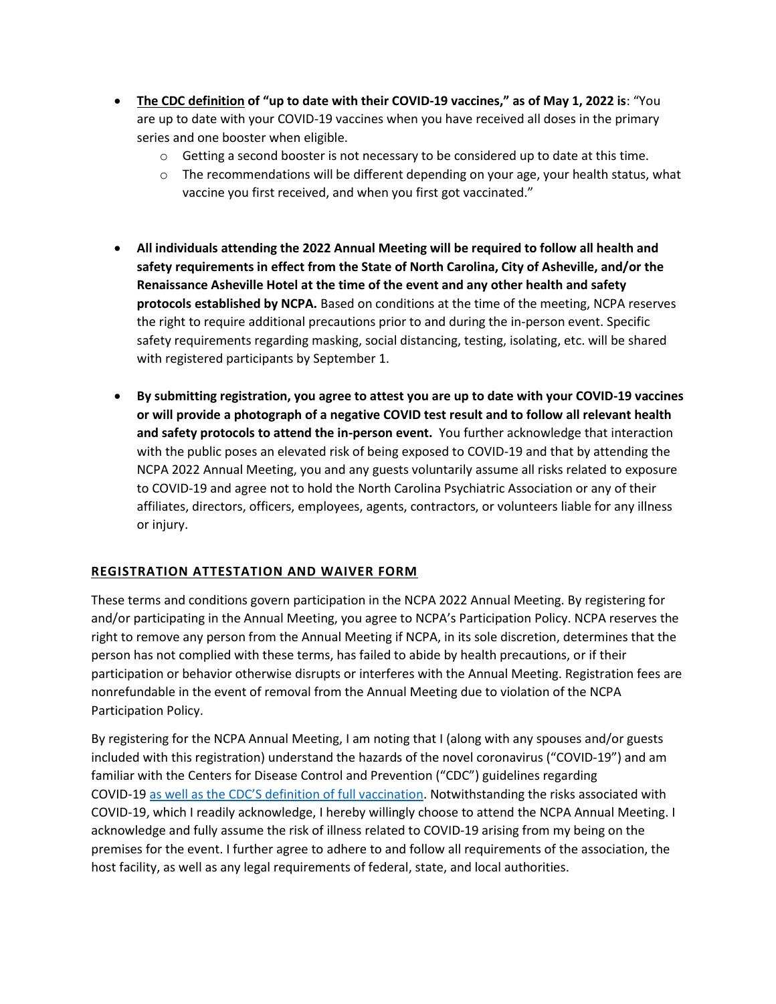- **The CDC definition of "up to date with their COVID-19 vaccines," as of May 1, 2022 is**: "You are up to date with your COVID-19 vaccines when you have received all doses in the primary series and one booster when eligible.
	- $\circ$  Getting a second booster is not necessary to be considered up to date at this time.
	- $\circ$  The recommendations will be different depending on your age, your health status, what vaccine you first received, and when you first got vaccinated."
- **All individuals attending the 2022 Annual Meeting will be required to follow all health and safety requirements in effect from the State of North Carolina, City of Asheville, and/or the Renaissance Asheville Hotel at the time of the event and any other health and safety protocols established by NCPA.** Based on conditions at the time of the meeting, NCPA reserves the right to require additional precautions prior to and during the in-person event. Specific safety requirements regarding masking, social distancing, testing, isolating, etc. will be shared with registered participants by September 1.
- **By submitting registration, you agree to attest you are up to date with your COVID-19 vaccines or will provide a photograph of a negative COVID test result and to follow all relevant health and safety protocols to attend the in-person event.** You further acknowledge that interaction with the public poses an elevated risk of being exposed to COVID-19 and that by attending the NCPA 2022 Annual Meeting, you and any guests voluntarily assume all risks related to exposure to COVID-19 and agree not to hold the North Carolina Psychiatric Association or any of their affiliates, directors, officers, employees, agents, contractors, or volunteers liable for any illness or injury.

## **REGISTRATION ATTESTATION AND WAIVER FORM**

These terms and conditions govern participation in the NCPA 2022 Annual Meeting. By registering for and/or participating in the Annual Meeting, you agree to NCPA's Participation Policy. NCPA reserves the right to remove any person from the Annual Meeting if NCPA, in its sole discretion, determines that the person has not complied with these terms, has failed to abide by health precautions, or if their participation or behavior otherwise disrupts or interferes with the Annual Meeting. Registration fees are nonrefundable in the event of removal from the Annual Meeting due to violation of the NCPA Participation Policy.

By registering for the NCPA Annual Meeting, I am noting that I (along with any spouses and/or guests included with this registration) understand the hazards of the novel coronavirus ("COVID‐19") and am familiar with the Centers for Disease Control and Prevention ("CDC") guidelines regarding COVID‐19 as well as the CDC'S definition of full vaccination. Notwithstanding the risks associated with COVID‐19, which I readily acknowledge, I hereby willingly choose to attend the NCPA Annual Meeting. I acknowledge and fully assume the risk of illness related to COVID‐19 arising from my being on the premises for the event. I further agree to adhere to and follow all requirements of the association, the host facility, as well as any legal requirements of federal, state, and local authorities.